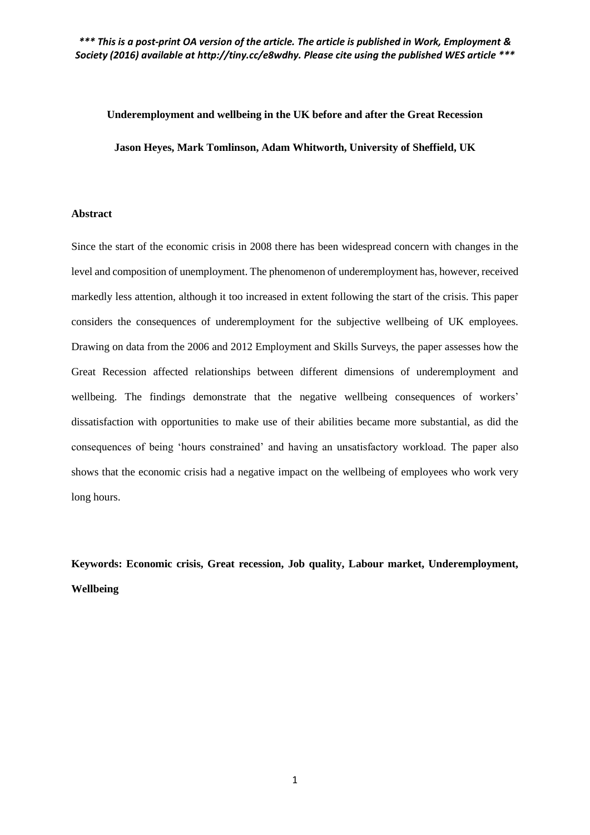#### **Underemployment and wellbeing in the UK before and after the Great Recession**

**Jason Heyes, Mark Tomlinson, Adam Whitworth, University of Sheffield, UK** 

#### **Abstract**

Since the start of the economic crisis in 2008 there has been widespread concern with changes in the level and composition of unemployment. The phenomenon of underemployment has, however, received markedly less attention, although it too increased in extent following the start of the crisis. This paper considers the consequences of underemployment for the subjective wellbeing of UK employees. Drawing on data from the 2006 and 2012 Employment and Skills Surveys, the paper assesses how the Great Recession affected relationships between different dimensions of underemployment and wellbeing. The findings demonstrate that the negative wellbeing consequences of workers' dissatisfaction with opportunities to make use of their abilities became more substantial, as did the consequences of being 'hours constrained' and having an unsatisfactory workload. The paper also shows that the economic crisis had a negative impact on the wellbeing of employees who work very long hours.

**Keywords: Economic crisis, Great recession, Job quality, Labour market, Underemployment, Wellbeing**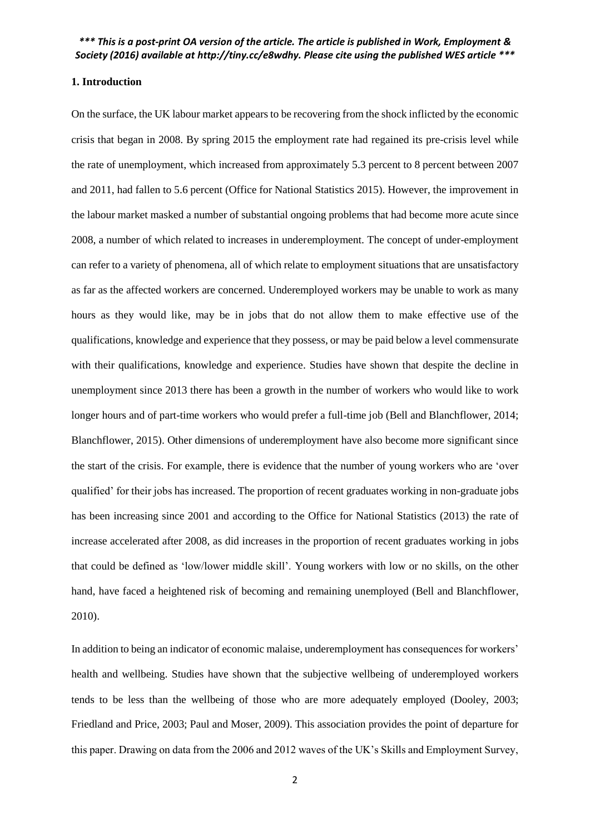#### **1. Introduction**

On the surface, the UK labour market appears to be recovering from the shock inflicted by the economic crisis that began in 2008. By spring 2015 the employment rate had regained its pre-crisis level while the rate of unemployment, which increased from approximately 5.3 percent to 8 percent between 2007 and 2011, had fallen to 5.6 percent (Office for National Statistics 2015). However, the improvement in the labour market masked a number of substantial ongoing problems that had become more acute since 2008, a number of which related to increases in underemployment. The concept of under-employment can refer to a variety of phenomena, all of which relate to employment situations that are unsatisfactory as far as the affected workers are concerned. Underemployed workers may be unable to work as many hours as they would like, may be in jobs that do not allow them to make effective use of the qualifications, knowledge and experience that they possess, or may be paid below a level commensurate with their qualifications, knowledge and experience. Studies have shown that despite the decline in unemployment since 2013 there has been a growth in the number of workers who would like to work longer hours and of part-time workers who would prefer a full-time job (Bell and Blanchflower, 2014; Blanchflower, 2015). Other dimensions of underemployment have also become more significant since the start of the crisis. For example, there is evidence that the number of young workers who are 'over qualified' for their jobs has increased. The proportion of recent graduates working in non-graduate jobs has been increasing since 2001 and according to the Office for National Statistics (2013) the rate of increase accelerated after 2008, as did increases in the proportion of recent graduates working in jobs that could be defined as 'low/lower middle skill'. Young workers with low or no skills, on the other hand, have faced a heightened risk of becoming and remaining unemployed (Bell and Blanchflower, 2010).

In addition to being an indicator of economic malaise, underemployment has consequences for workers' health and wellbeing. Studies have shown that the subjective wellbeing of underemployed workers tends to be less than the wellbeing of those who are more adequately employed (Dooley, 2003; Friedland and Price, 2003; Paul and Moser, 2009). This association provides the point of departure for this paper. Drawing on data from the 2006 and 2012 waves of the UK's Skills and Employment Survey,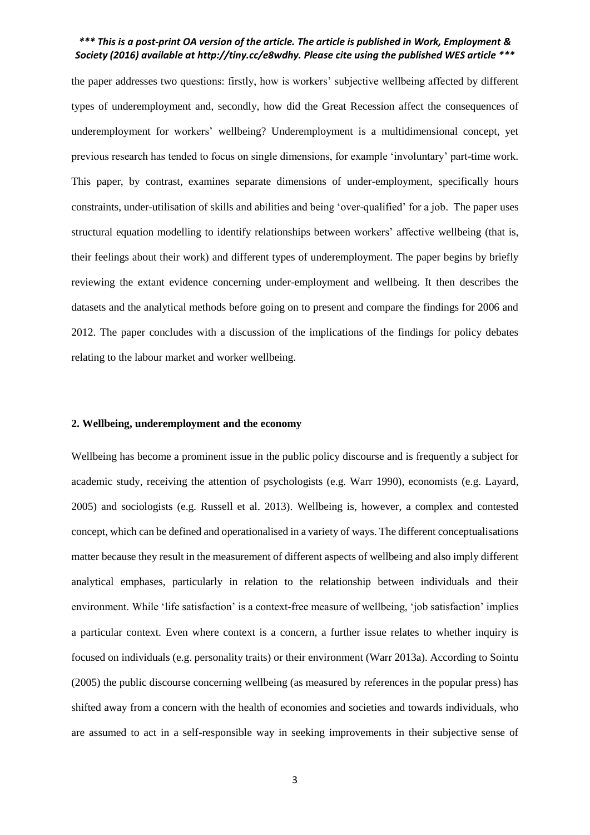the paper addresses two questions: firstly, how is workers' subjective wellbeing affected by different types of underemployment and, secondly, how did the Great Recession affect the consequences of underemployment for workers' wellbeing? Underemployment is a multidimensional concept, yet previous research has tended to focus on single dimensions, for example 'involuntary' part-time work. This paper, by contrast, examines separate dimensions of under-employment, specifically hours constraints, under-utilisation of skills and abilities and being 'over-qualified' for a job. The paper uses structural equation modelling to identify relationships between workers' affective wellbeing (that is, their feelings about their work) and different types of underemployment. The paper begins by briefly reviewing the extant evidence concerning under-employment and wellbeing. It then describes the datasets and the analytical methods before going on to present and compare the findings for 2006 and 2012. The paper concludes with a discussion of the implications of the findings for policy debates relating to the labour market and worker wellbeing.

#### **2. Wellbeing, underemployment and the economy**

Wellbeing has become a prominent issue in the public policy discourse and is frequently a subject for academic study, receiving the attention of psychologists (e.g. Warr 1990), economists (e.g. Layard, 2005) and sociologists (e.g. Russell et al. 2013). Wellbeing is, however, a complex and contested concept, which can be defined and operationalised in a variety of ways. The different conceptualisations matter because they result in the measurement of different aspects of wellbeing and also imply different analytical emphases, particularly in relation to the relationship between individuals and their environment. While 'life satisfaction' is a context-free measure of wellbeing, 'job satisfaction' implies a particular context. Even where context is a concern, a further issue relates to whether inquiry is focused on individuals (e.g. personality traits) or their environment (Warr 2013a). According to Sointu (2005) the public discourse concerning wellbeing (as measured by references in the popular press) has shifted away from a concern with the health of economies and societies and towards individuals, who are assumed to act in a self-responsible way in seeking improvements in their subjective sense of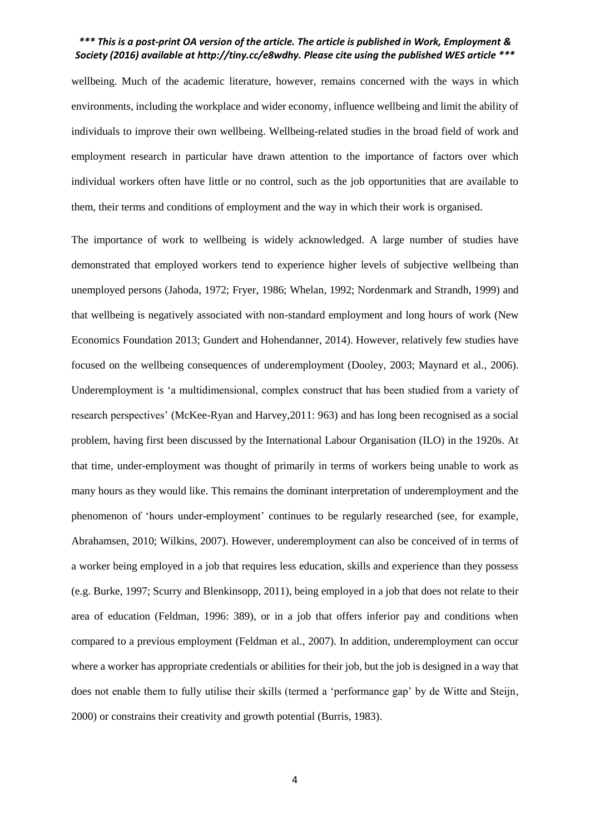wellbeing. Much of the academic literature, however, remains concerned with the ways in which environments, including the workplace and wider economy, influence wellbeing and limit the ability of individuals to improve their own wellbeing. Wellbeing-related studies in the broad field of work and employment research in particular have drawn attention to the importance of factors over which individual workers often have little or no control, such as the job opportunities that are available to them, their terms and conditions of employment and the way in which their work is organised.

The importance of work to wellbeing is widely acknowledged. A large number of studies have demonstrated that employed workers tend to experience higher levels of subjective wellbeing than unemployed persons (Jahoda, 1972; Fryer, 1986; Whelan, 1992; Nordenmark and Strandh, 1999) and that wellbeing is negatively associated with non-standard employment and long hours of work (New Economics Foundation 2013; Gundert and Hohendanner, 2014). However, relatively few studies have focused on the wellbeing consequences of underemployment (Dooley, 2003; Maynard et al., 2006). Underemployment is 'a multidimensional, complex construct that has been studied from a variety of research perspectives' (McKee-Ryan and Harvey,2011: 963) and has long been recognised as a social problem, having first been discussed by the International Labour Organisation (ILO) in the 1920s. At that time, under-employment was thought of primarily in terms of workers being unable to work as many hours as they would like. This remains the dominant interpretation of underemployment and the phenomenon of 'hours under-employment' continues to be regularly researched (see, for example, Abrahamsen, 2010; Wilkins, 2007). However, underemployment can also be conceived of in terms of a worker being employed in a job that requires less education, skills and experience than they possess (e.g. Burke, 1997; Scurry and Blenkinsopp, 2011), being employed in a job that does not relate to their area of education (Feldman, 1996: 389), or in a job that offers inferior pay and conditions when compared to a previous employment (Feldman et al., 2007). In addition, underemployment can occur where a worker has appropriate credentials or abilities for their job, but the job is designed in a way that does not enable them to fully utilise their skills (termed a 'performance gap' by de Witte and Steijn, 2000) or constrains their creativity and growth potential (Burris, 1983).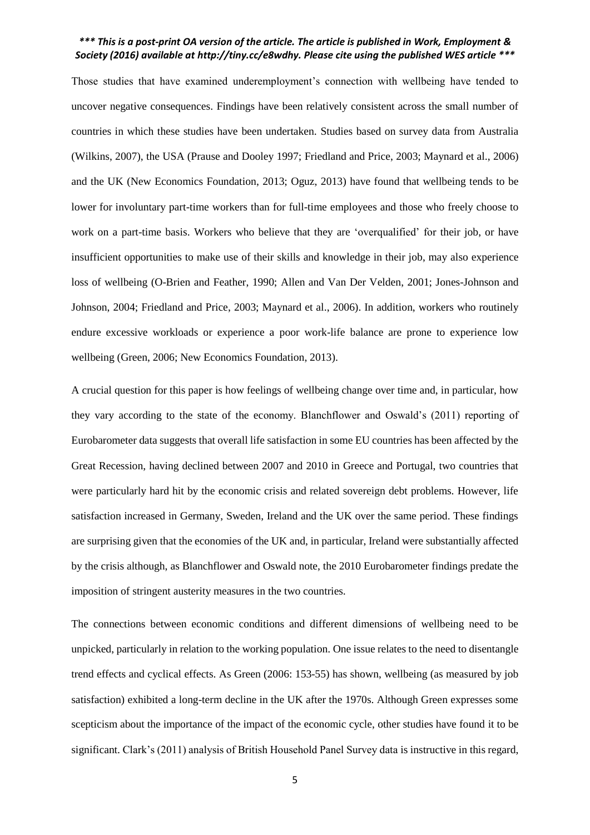Those studies that have examined underemployment's connection with wellbeing have tended to uncover negative consequences. Findings have been relatively consistent across the small number of countries in which these studies have been undertaken. Studies based on survey data from Australia (Wilkins, 2007), the USA (Prause and Dooley 1997; Friedland and Price, 2003; Maynard et al., 2006) and the UK (New Economics Foundation, 2013; Oguz, 2013) have found that wellbeing tends to be lower for involuntary part-time workers than for full-time employees and those who freely choose to work on a part-time basis. Workers who believe that they are 'overqualified' for their job, or have insufficient opportunities to make use of their skills and knowledge in their job, may also experience loss of wellbeing (O-Brien and Feather, 1990; Allen and Van Der Velden, 2001; Jones-Johnson and Johnson, 2004; Friedland and Price, 2003; Maynard et al., 2006). In addition, workers who routinely endure excessive workloads or experience a poor work-life balance are prone to experience low wellbeing (Green, 2006; New Economics Foundation, 2013).

A crucial question for this paper is how feelings of wellbeing change over time and, in particular, how they vary according to the state of the economy. Blanchflower and Oswald's (2011) reporting of Eurobarometer data suggests that overall life satisfaction in some EU countries has been affected by the Great Recession, having declined between 2007 and 2010 in Greece and Portugal, two countries that were particularly hard hit by the economic crisis and related sovereign debt problems. However, life satisfaction increased in Germany, Sweden, Ireland and the UK over the same period. These findings are surprising given that the economies of the UK and, in particular, Ireland were substantially affected by the crisis although, as Blanchflower and Oswald note, the 2010 Eurobarometer findings predate the imposition of stringent austerity measures in the two countries.

The connections between economic conditions and different dimensions of wellbeing need to be unpicked, particularly in relation to the working population. One issue relates to the need to disentangle trend effects and cyclical effects. As Green (2006: 153-55) has shown, wellbeing (as measured by job satisfaction) exhibited a long-term decline in the UK after the 1970s. Although Green expresses some scepticism about the importance of the impact of the economic cycle, other studies have found it to be significant. Clark's (2011) analysis of British Household Panel Survey data is instructive in this regard,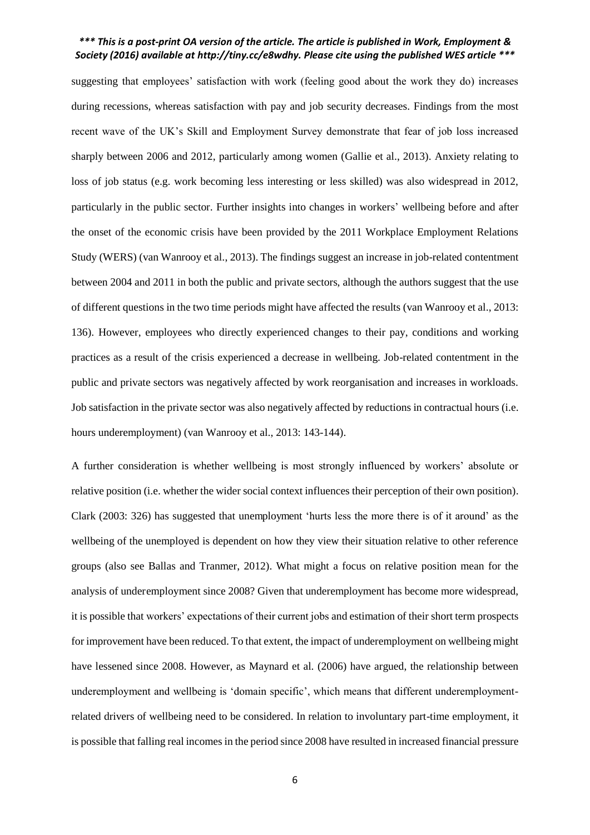suggesting that employees' satisfaction with work (feeling good about the work they do) increases during recessions, whereas satisfaction with pay and job security decreases. Findings from the most recent wave of the UK's Skill and Employment Survey demonstrate that fear of job loss increased sharply between 2006 and 2012, particularly among women (Gallie et al., 2013). Anxiety relating to loss of job status (e.g. work becoming less interesting or less skilled) was also widespread in 2012, particularly in the public sector. Further insights into changes in workers' wellbeing before and after the onset of the economic crisis have been provided by the 2011 Workplace Employment Relations Study (WERS) (van Wanrooy et al., 2013). The findings suggest an increase in job-related contentment between 2004 and 2011 in both the public and private sectors, although the authors suggest that the use of different questions in the two time periods might have affected the results (van Wanrooy et al., 2013: 136). However, employees who directly experienced changes to their pay, conditions and working practices as a result of the crisis experienced a decrease in wellbeing. Job-related contentment in the public and private sectors was negatively affected by work reorganisation and increases in workloads. Job satisfaction in the private sector was also negatively affected by reductions in contractual hours (i.e. hours underemployment) (van Wanrooy et al., 2013: 143-144).

A further consideration is whether wellbeing is most strongly influenced by workers' absolute or relative position (i.e. whether the wider social context influences their perception of their own position). Clark (2003: 326) has suggested that unemployment 'hurts less the more there is of it around' as the wellbeing of the unemployed is dependent on how they view their situation relative to other reference groups (also see Ballas and Tranmer, 2012). What might a focus on relative position mean for the analysis of underemployment since 2008? Given that underemployment has become more widespread, it is possible that workers' expectations of their current jobs and estimation of their short term prospects for improvement have been reduced. To that extent, the impact of underemployment on wellbeing might have lessened since 2008. However, as Maynard et al. (2006) have argued, the relationship between underemployment and wellbeing is 'domain specific', which means that different underemploymentrelated drivers of wellbeing need to be considered. In relation to involuntary part-time employment, it is possible that falling real incomes in the period since 2008 have resulted in increased financial pressure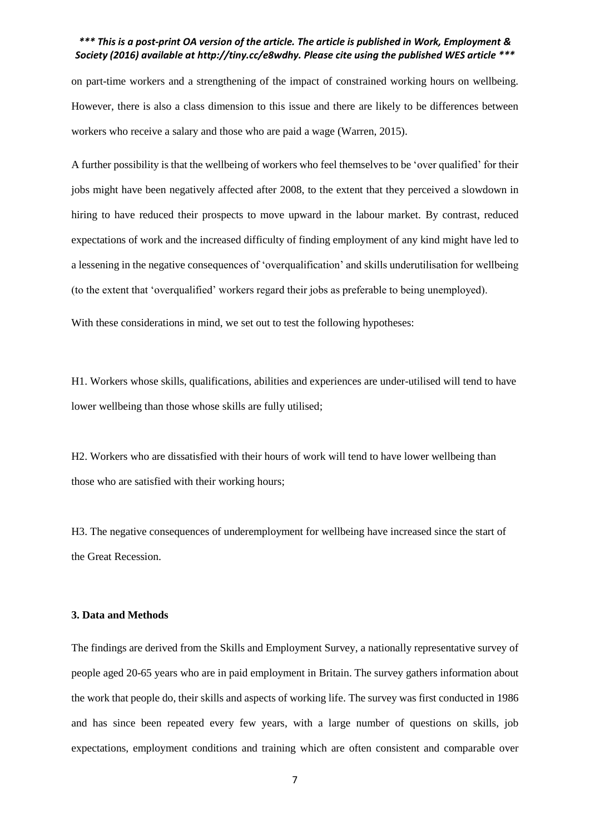on part-time workers and a strengthening of the impact of constrained working hours on wellbeing. However, there is also a class dimension to this issue and there are likely to be differences between workers who receive a salary and those who are paid a wage (Warren, 2015).

A further possibility is that the wellbeing of workers who feel themselves to be 'over qualified' for their jobs might have been negatively affected after 2008, to the extent that they perceived a slowdown in hiring to have reduced their prospects to move upward in the labour market. By contrast, reduced expectations of work and the increased difficulty of finding employment of any kind might have led to a lessening in the negative consequences of 'overqualification' and skills underutilisation for wellbeing (to the extent that 'overqualified' workers regard their jobs as preferable to being unemployed).

With these considerations in mind, we set out to test the following hypotheses:

H1. Workers whose skills, qualifications, abilities and experiences are under-utilised will tend to have lower wellbeing than those whose skills are fully utilised;

H2. Workers who are dissatisfied with their hours of work will tend to have lower wellbeing than those who are satisfied with their working hours;

H3. The negative consequences of underemployment for wellbeing have increased since the start of the Great Recession.

#### **3. Data and Methods**

The findings are derived from the Skills and Employment Survey, a nationally representative survey of people aged 20-65 years who are in paid employment in Britain. The survey gathers information about the work that people do, their skills and aspects of working life. The survey was first conducted in 1986 and has since been repeated every few years, with a large number of questions on skills, job expectations, employment conditions and training which are often consistent and comparable over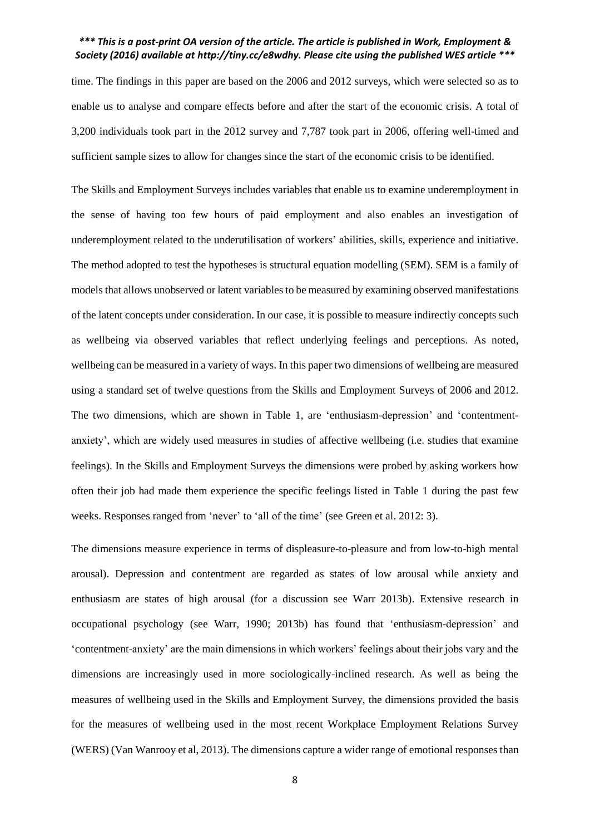time. The findings in this paper are based on the 2006 and 2012 surveys, which were selected so as to enable us to analyse and compare effects before and after the start of the economic crisis. A total of 3,200 individuals took part in the 2012 survey and 7,787 took part in 2006, offering well-timed and sufficient sample sizes to allow for changes since the start of the economic crisis to be identified.

The Skills and Employment Surveys includes variables that enable us to examine underemployment in the sense of having too few hours of paid employment and also enables an investigation of underemployment related to the underutilisation of workers' abilities, skills, experience and initiative. The method adopted to test the hypotheses is structural equation modelling (SEM). SEM is a family of models that allows unobserved or latent variables to be measured by examining observed manifestations of the latent concepts under consideration. In our case, it is possible to measure indirectly concepts such as wellbeing via observed variables that reflect underlying feelings and perceptions. As noted, wellbeing can be measured in a variety of ways. In this paper two dimensions of wellbeing are measured using a standard set of twelve questions from the Skills and Employment Surveys of 2006 and 2012. The two dimensions, which are shown in Table 1, are 'enthusiasm-depression' and 'contentmentanxiety', which are widely used measures in studies of affective wellbeing (i.e. studies that examine feelings). In the Skills and Employment Surveys the dimensions were probed by asking workers how often their job had made them experience the specific feelings listed in Table 1 during the past few weeks. Responses ranged from 'never' to 'all of the time' (see Green et al. 2012: 3).

The dimensions measure experience in terms of displeasure-to-pleasure and from low-to-high mental arousal). Depression and contentment are regarded as states of low arousal while anxiety and enthusiasm are states of high arousal (for a discussion see Warr 2013b). Extensive research in occupational psychology (see Warr, 1990; 2013b) has found that 'enthusiasm-depression' and 'contentment-anxiety' are the main dimensions in which workers' feelings about their jobs vary and the dimensions are increasingly used in more sociologically-inclined research. As well as being the measures of wellbeing used in the Skills and Employment Survey, the dimensions provided the basis for the measures of wellbeing used in the most recent Workplace Employment Relations Survey (WERS) (Van Wanrooy et al, 2013). The dimensions capture a wider range of emotional responses than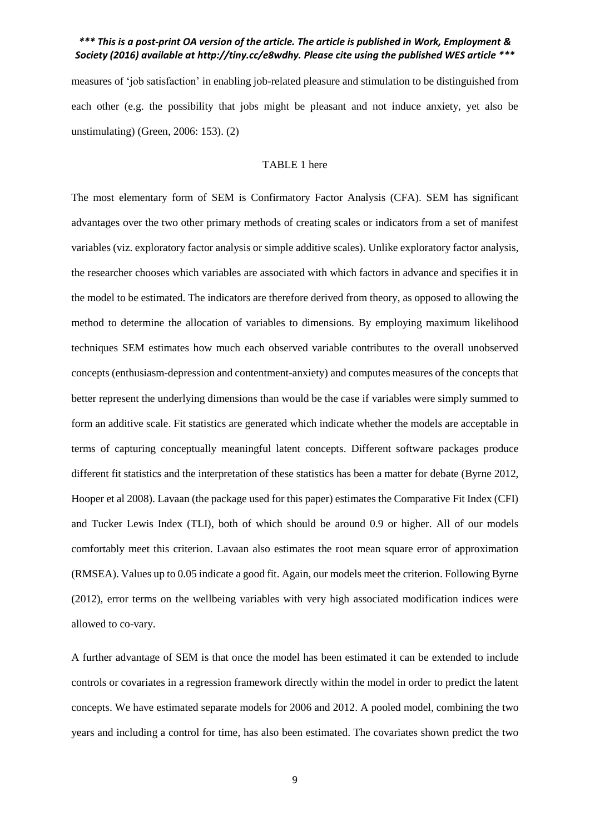measures of 'job satisfaction' in enabling job-related pleasure and stimulation to be distinguished from each other (e.g. the possibility that jobs might be pleasant and not induce anxiety, yet also be unstimulating) (Green, 2006: 153). (2)

#### TABLE 1 here

The most elementary form of SEM is Confirmatory Factor Analysis (CFA). SEM has significant advantages over the two other primary methods of creating scales or indicators from a set of manifest variables (viz. exploratory factor analysis or simple additive scales). Unlike exploratory factor analysis, the researcher chooses which variables are associated with which factors in advance and specifies it in the model to be estimated. The indicators are therefore derived from theory, as opposed to allowing the method to determine the allocation of variables to dimensions. By employing maximum likelihood techniques SEM estimates how much each observed variable contributes to the overall unobserved concepts (enthusiasm-depression and contentment-anxiety) and computes measures of the concepts that better represent the underlying dimensions than would be the case if variables were simply summed to form an additive scale. Fit statistics are generated which indicate whether the models are acceptable in terms of capturing conceptually meaningful latent concepts. Different software packages produce different fit statistics and the interpretation of these statistics has been a matter for debate (Byrne 2012, Hooper et al 2008). Lavaan (the package used for this paper) estimates the Comparative Fit Index (CFI) and Tucker Lewis Index (TLI), both of which should be around 0.9 or higher. All of our models comfortably meet this criterion. Lavaan also estimates the root mean square error of approximation (RMSEA). Values up to 0.05 indicate a good fit. Again, our models meet the criterion. Following Byrne (2012), error terms on the wellbeing variables with very high associated modification indices were allowed to co-vary.

A further advantage of SEM is that once the model has been estimated it can be extended to include controls or covariates in a regression framework directly within the model in order to predict the latent concepts. We have estimated separate models for 2006 and 2012. A pooled model, combining the two years and including a control for time, has also been estimated. The covariates shown predict the two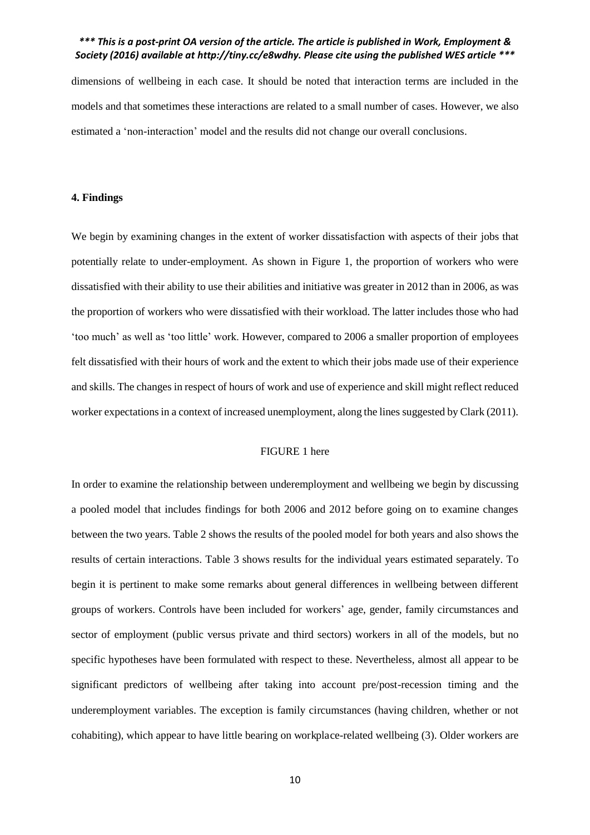dimensions of wellbeing in each case. It should be noted that interaction terms are included in the models and that sometimes these interactions are related to a small number of cases. However, we also estimated a 'non-interaction' model and the results did not change our overall conclusions.

#### **4. Findings**

We begin by examining changes in the extent of worker dissatisfaction with aspects of their jobs that potentially relate to under-employment. As shown in Figure 1, the proportion of workers who were dissatisfied with their ability to use their abilities and initiative was greater in 2012 than in 2006, as was the proportion of workers who were dissatisfied with their workload. The latter includes those who had 'too much' as well as 'too little' work. However, compared to 2006 a smaller proportion of employees felt dissatisfied with their hours of work and the extent to which their jobs made use of their experience and skills. The changes in respect of hours of work and use of experience and skill might reflect reduced worker expectations in a context of increased unemployment, along the lines suggested by Clark (2011).

#### FIGURE 1 here

In order to examine the relationship between underemployment and wellbeing we begin by discussing a pooled model that includes findings for both 2006 and 2012 before going on to examine changes between the two years. Table 2 shows the results of the pooled model for both years and also shows the results of certain interactions. Table 3 shows results for the individual years estimated separately. To begin it is pertinent to make some remarks about general differences in wellbeing between different groups of workers. Controls have been included for workers' age, gender, family circumstances and sector of employment (public versus private and third sectors) workers in all of the models, but no specific hypotheses have been formulated with respect to these. Nevertheless, almost all appear to be significant predictors of wellbeing after taking into account pre/post-recession timing and the underemployment variables. The exception is family circumstances (having children, whether or not cohabiting), which appear to have little bearing on workplace-related wellbeing (3). Older workers are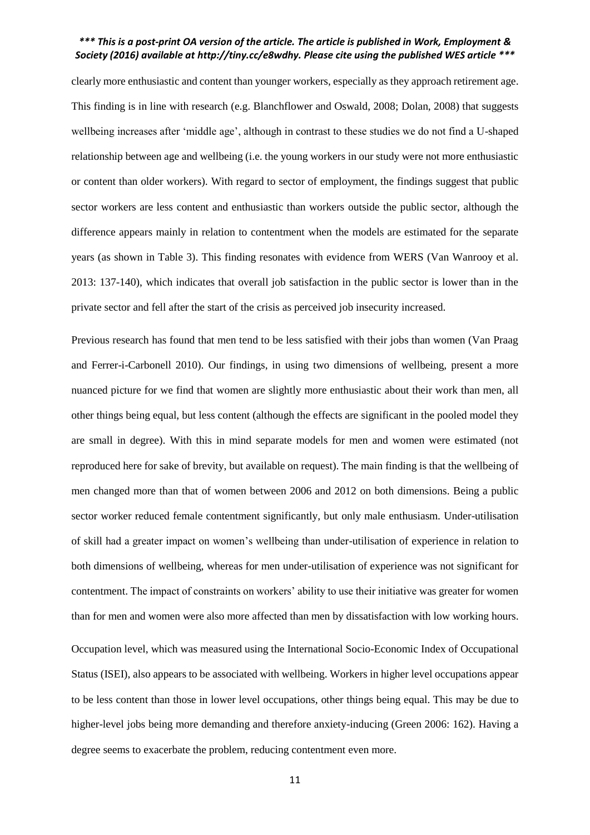clearly more enthusiastic and content than younger workers, especially as they approach retirement age. This finding is in line with research (e.g. Blanchflower and Oswald, 2008; Dolan, 2008) that suggests wellbeing increases after 'middle age', although in contrast to these studies we do not find a U-shaped relationship between age and wellbeing (i.e. the young workers in our study were not more enthusiastic or content than older workers). With regard to sector of employment, the findings suggest that public sector workers are less content and enthusiastic than workers outside the public sector, although the difference appears mainly in relation to contentment when the models are estimated for the separate years (as shown in Table 3). This finding resonates with evidence from WERS (Van Wanrooy et al. 2013: 137-140), which indicates that overall job satisfaction in the public sector is lower than in the private sector and fell after the start of the crisis as perceived job insecurity increased.

Previous research has found that men tend to be less satisfied with their jobs than women (Van Praag and Ferrer-i-Carbonell 2010). Our findings, in using two dimensions of wellbeing, present a more nuanced picture for we find that women are slightly more enthusiastic about their work than men, all other things being equal, but less content (although the effects are significant in the pooled model they are small in degree). With this in mind separate models for men and women were estimated (not reproduced here for sake of brevity, but available on request). The main finding is that the wellbeing of men changed more than that of women between 2006 and 2012 on both dimensions. Being a public sector worker reduced female contentment significantly, but only male enthusiasm. Under-utilisation of skill had a greater impact on women's wellbeing than under-utilisation of experience in relation to both dimensions of wellbeing, whereas for men under-utilisation of experience was not significant for contentment. The impact of constraints on workers' ability to use their initiative was greater for women than for men and women were also more affected than men by dissatisfaction with low working hours.

Occupation level, which was measured using the International Socio-Economic Index of Occupational Status (ISEI), also appears to be associated with wellbeing. Workers in higher level occupations appear to be less content than those in lower level occupations, other things being equal. This may be due to higher-level jobs being more demanding and therefore anxiety-inducing (Green 2006: 162). Having a degree seems to exacerbate the problem, reducing contentment even more.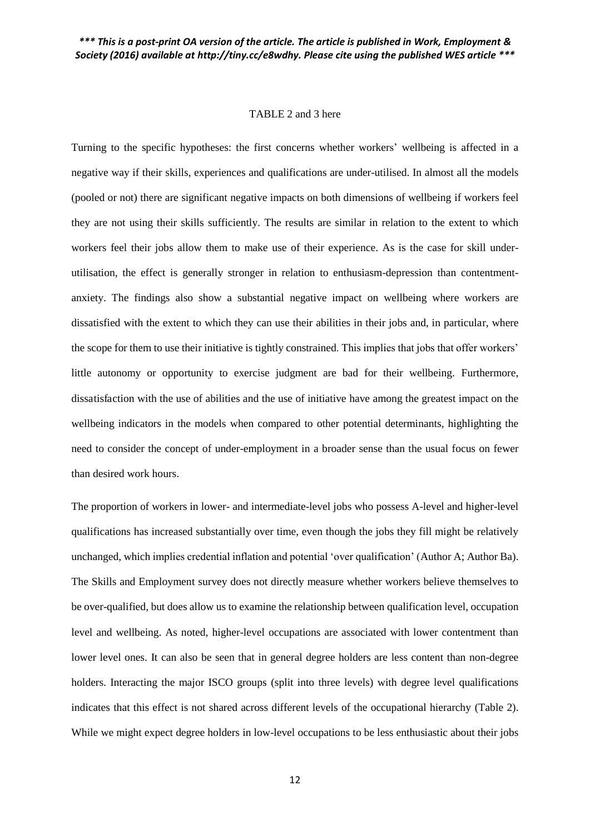#### TABLE 2 and 3 here

Turning to the specific hypotheses: the first concerns whether workers' wellbeing is affected in a negative way if their skills, experiences and qualifications are under-utilised. In almost all the models (pooled or not) there are significant negative impacts on both dimensions of wellbeing if workers feel they are not using their skills sufficiently. The results are similar in relation to the extent to which workers feel their jobs allow them to make use of their experience. As is the case for skill underutilisation, the effect is generally stronger in relation to enthusiasm-depression than contentmentanxiety. The findings also show a substantial negative impact on wellbeing where workers are dissatisfied with the extent to which they can use their abilities in their jobs and, in particular, where the scope for them to use their initiative is tightly constrained. This implies that jobs that offer workers' little autonomy or opportunity to exercise judgment are bad for their wellbeing. Furthermore, dissatisfaction with the use of abilities and the use of initiative have among the greatest impact on the wellbeing indicators in the models when compared to other potential determinants, highlighting the need to consider the concept of under-employment in a broader sense than the usual focus on fewer than desired work hours.

The proportion of workers in lower- and intermediate-level jobs who possess A-level and higher-level qualifications has increased substantially over time, even though the jobs they fill might be relatively unchanged, which implies credential inflation and potential 'over qualification' (Author A; Author Ba). The Skills and Employment survey does not directly measure whether workers believe themselves to be over-qualified, but does allow us to examine the relationship between qualification level, occupation level and wellbeing. As noted, higher-level occupations are associated with lower contentment than lower level ones. It can also be seen that in general degree holders are less content than non-degree holders. Interacting the major ISCO groups (split into three levels) with degree level qualifications indicates that this effect is not shared across different levels of the occupational hierarchy (Table 2). While we might expect degree holders in low-level occupations to be less enthusiastic about their jobs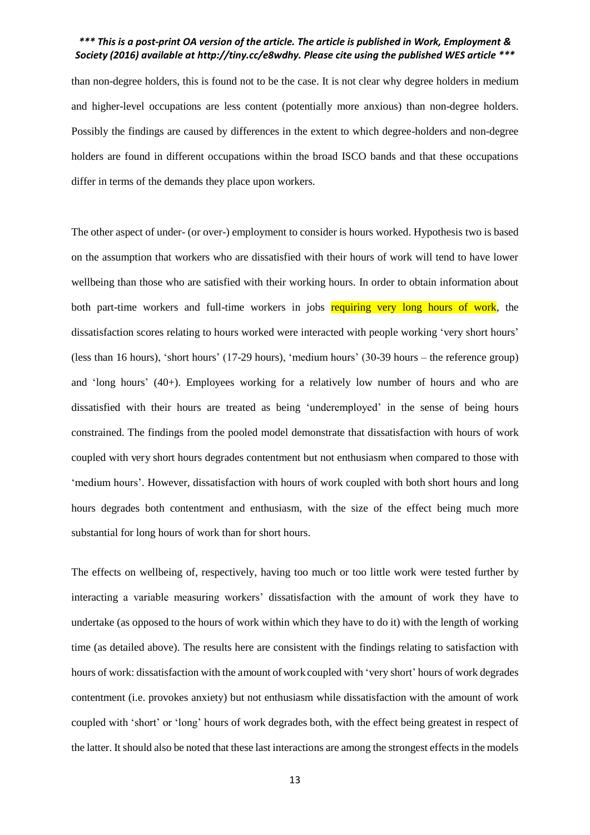than non-degree holders, this is found not to be the case. It is not clear why degree holders in medium and higher-level occupations are less content (potentially more anxious) than non-degree holders. Possibly the findings are caused by differences in the extent to which degree-holders and non-degree holders are found in different occupations within the broad ISCO bands and that these occupations differ in terms of the demands they place upon workers.

The other aspect of under- (or over-) employment to consider is hours worked. Hypothesis two is based on the assumption that workers who are dissatisfied with their hours of work will tend to have lower wellbeing than those who are satisfied with their working hours. In order to obtain information about both part-time workers and full-time workers in jobs requiring very long hours of work, the dissatisfaction scores relating to hours worked were interacted with people working 'very short hours' (less than 16 hours), 'short hours' (17-29 hours), 'medium hours' (30-39 hours – the reference group) and 'long hours' (40+). Employees working for a relatively low number of hours and who are dissatisfied with their hours are treated as being 'underemployed' in the sense of being hours constrained. The findings from the pooled model demonstrate that dissatisfaction with hours of work coupled with very short hours degrades contentment but not enthusiasm when compared to those with 'medium hours'. However, dissatisfaction with hours of work coupled with both short hours and long hours degrades both contentment and enthusiasm, with the size of the effect being much more substantial for long hours of work than for short hours.

The effects on wellbeing of, respectively, having too much or too little work were tested further by interacting a variable measuring workers' dissatisfaction with the amount of work they have to undertake (as opposed to the hours of work within which they have to do it) with the length of working time (as detailed above). The results here are consistent with the findings relating to satisfaction with hours of work: dissatisfaction with the amount of work coupled with 'very short' hours of work degrades contentment (i.e. provokes anxiety) but not enthusiasm while dissatisfaction with the amount of work coupled with 'short' or 'long' hours of work degrades both, with the effect being greatest in respect of the latter. It should also be noted that these last interactions are among the strongest effects in the models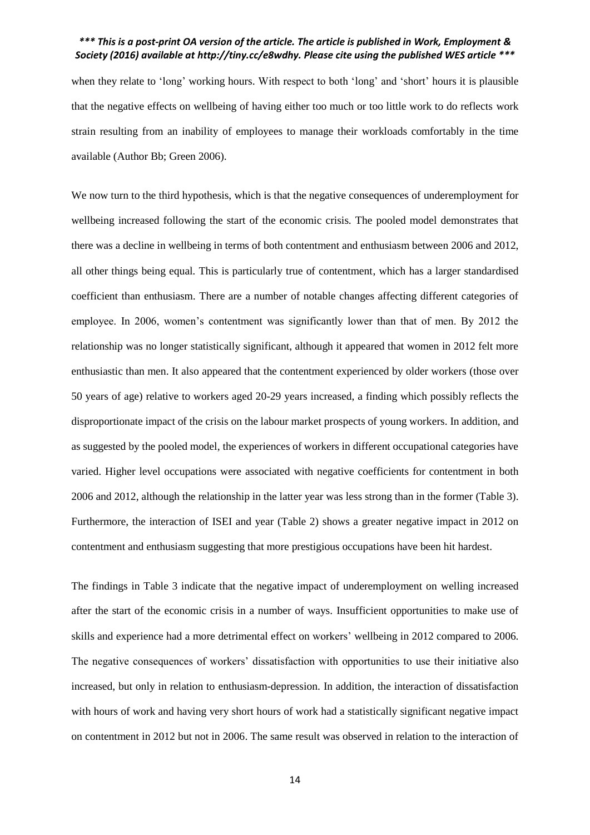when they relate to 'long' working hours. With respect to both 'long' and 'short' hours it is plausible that the negative effects on wellbeing of having either too much or too little work to do reflects work strain resulting from an inability of employees to manage their workloads comfortably in the time available (Author Bb; Green 2006).

We now turn to the third hypothesis, which is that the negative consequences of underemployment for wellbeing increased following the start of the economic crisis. The pooled model demonstrates that there was a decline in wellbeing in terms of both contentment and enthusiasm between 2006 and 2012, all other things being equal. This is particularly true of contentment, which has a larger standardised coefficient than enthusiasm. There are a number of notable changes affecting different categories of employee. In 2006, women's contentment was significantly lower than that of men. By 2012 the relationship was no longer statistically significant, although it appeared that women in 2012 felt more enthusiastic than men. It also appeared that the contentment experienced by older workers (those over 50 years of age) relative to workers aged 20-29 years increased, a finding which possibly reflects the disproportionate impact of the crisis on the labour market prospects of young workers. In addition, and as suggested by the pooled model, the experiences of workers in different occupational categories have varied. Higher level occupations were associated with negative coefficients for contentment in both 2006 and 2012, although the relationship in the latter year was less strong than in the former (Table 3). Furthermore, the interaction of ISEI and year (Table 2) shows a greater negative impact in 2012 on contentment and enthusiasm suggesting that more prestigious occupations have been hit hardest.

The findings in Table 3 indicate that the negative impact of underemployment on welling increased after the start of the economic crisis in a number of ways. Insufficient opportunities to make use of skills and experience had a more detrimental effect on workers' wellbeing in 2012 compared to 2006. The negative consequences of workers' dissatisfaction with opportunities to use their initiative also increased, but only in relation to enthusiasm-depression. In addition, the interaction of dissatisfaction with hours of work and having very short hours of work had a statistically significant negative impact on contentment in 2012 but not in 2006. The same result was observed in relation to the interaction of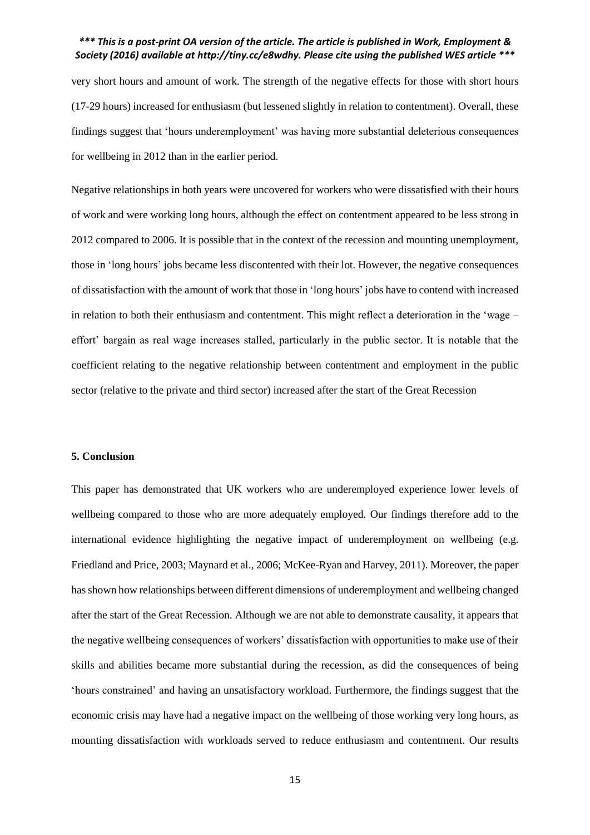very short hours and amount of work. The strength of the negative effects for those with short hours (17-29 hours) increased for enthusiasm (but lessened slightly in relation to contentment). Overall, these findings suggest that 'hours underemployment' was having more substantial deleterious consequences for wellbeing in 2012 than in the earlier period.

Negative relationships in both years were uncovered for workers who were dissatisfied with their hours of work and were working long hours, although the effect on contentment appeared to be less strong in 2012 compared to 2006. It is possible that in the context of the recession and mounting unemployment, those in 'long hours' jobs became less discontented with their lot. However, the negative consequences of dissatisfaction with the amount of work that those in 'long hours' jobs have to contend with increased in relation to both their enthusiasm and contentment. This might reflect a deterioration in the 'wage – effort' bargain as real wage increases stalled, particularly in the public sector. It is notable that the coefficient relating to the negative relationship between contentment and employment in the public sector (relative to the private and third sector) increased after the start of the Great Recession

#### **5. Conclusion**

This paper has demonstrated that UK workers who are underemployed experience lower levels of wellbeing compared to those who are more adequately employed. Our findings therefore add to the international evidence highlighting the negative impact of underemployment on wellbeing (e.g. Friedland and Price, 2003; Maynard et al., 2006; McKee-Ryan and Harvey, 2011). Moreover, the paper has shown how relationships between different dimensions of underemployment and wellbeing changed after the start of the Great Recession. Although we are not able to demonstrate causality, it appears that the negative wellbeing consequences of workers' dissatisfaction with opportunities to make use of their skills and abilities became more substantial during the recession, as did the consequences of being 'hours constrained' and having an unsatisfactory workload. Furthermore, the findings suggest that the economic crisis may have had a negative impact on the wellbeing of those working very long hours, as mounting dissatisfaction with workloads served to reduce enthusiasm and contentment. Our results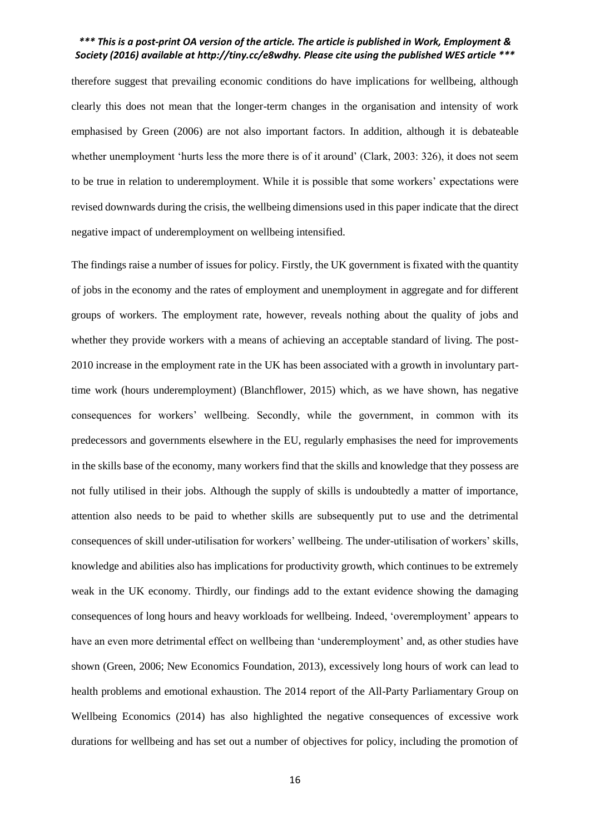therefore suggest that prevailing economic conditions do have implications for wellbeing, although clearly this does not mean that the longer-term changes in the organisation and intensity of work emphasised by Green (2006) are not also important factors. In addition, although it is debateable whether unemployment 'hurts less the more there is of it around' (Clark, 2003: 326), it does not seem to be true in relation to underemployment. While it is possible that some workers' expectations were revised downwards during the crisis, the wellbeing dimensions used in this paper indicate that the direct negative impact of underemployment on wellbeing intensified.

The findings raise a number of issues for policy. Firstly, the UK government is fixated with the quantity of jobs in the economy and the rates of employment and unemployment in aggregate and for different groups of workers. The employment rate, however, reveals nothing about the quality of jobs and whether they provide workers with a means of achieving an acceptable standard of living. The post-2010 increase in the employment rate in the UK has been associated with a growth in involuntary parttime work (hours underemployment) (Blanchflower, 2015) which, as we have shown, has negative consequences for workers' wellbeing. Secondly, while the government, in common with its predecessors and governments elsewhere in the EU, regularly emphasises the need for improvements in the skills base of the economy, many workers find that the skills and knowledge that they possess are not fully utilised in their jobs. Although the supply of skills is undoubtedly a matter of importance, attention also needs to be paid to whether skills are subsequently put to use and the detrimental consequences of skill under-utilisation for workers' wellbeing. The under-utilisation of workers' skills, knowledge and abilities also has implications for productivity growth, which continues to be extremely weak in the UK economy. Thirdly, our findings add to the extant evidence showing the damaging consequences of long hours and heavy workloads for wellbeing. Indeed, 'overemployment' appears to have an even more detrimental effect on wellbeing than 'underemployment' and, as other studies have shown (Green, 2006; New Economics Foundation, 2013), excessively long hours of work can lead to health problems and emotional exhaustion. The 2014 report of the All-Party Parliamentary Group on Wellbeing Economics (2014) has also highlighted the negative consequences of excessive work durations for wellbeing and has set out a number of objectives for policy, including the promotion of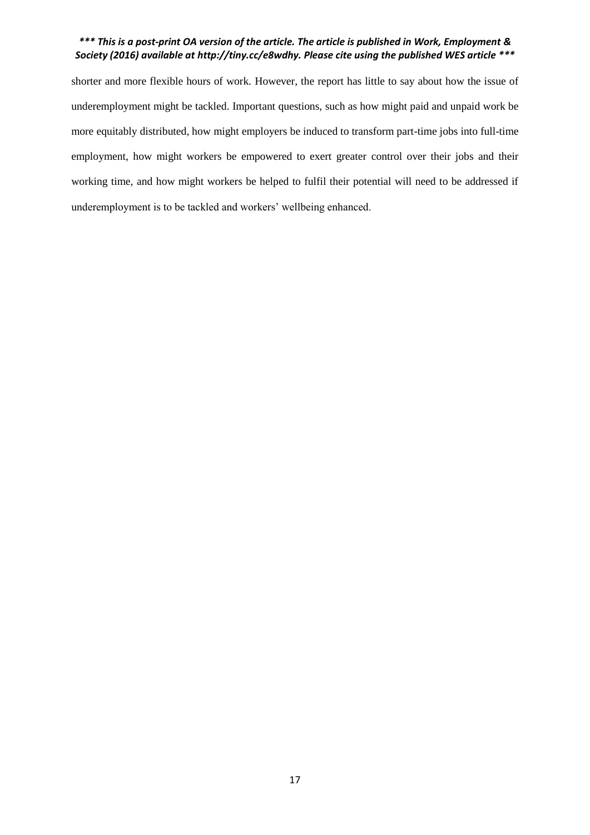shorter and more flexible hours of work. However, the report has little to say about how the issue of underemployment might be tackled. Important questions, such as how might paid and unpaid work be more equitably distributed, how might employers be induced to transform part-time jobs into full-time employment, how might workers be empowered to exert greater control over their jobs and their working time, and how might workers be helped to fulfil their potential will need to be addressed if underemployment is to be tackled and workers' wellbeing enhanced.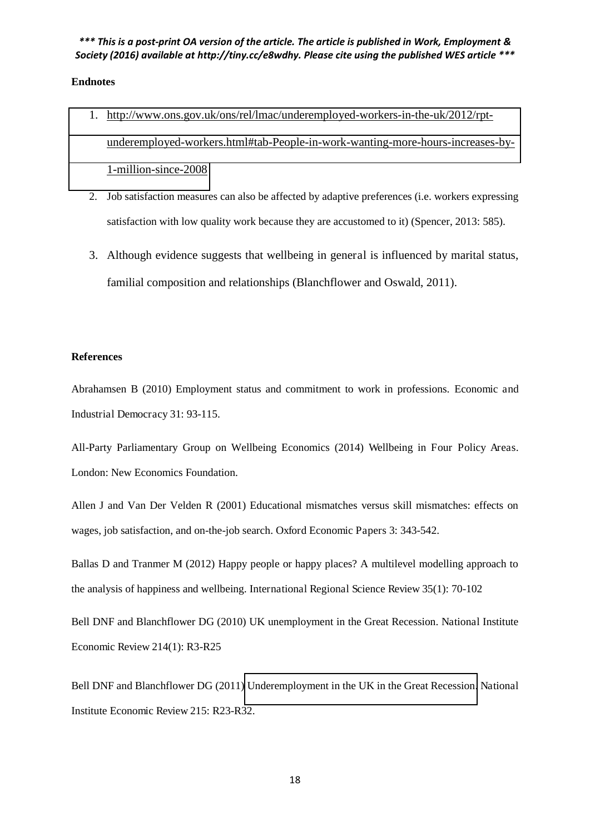# **Endnotes**

- 1. [http://www.ons.gov.uk/ons/rel/lmac/underemployed-workers-in-the-uk/2012/rpt](http://www.ons.gov.uk/ons/rel/lmac/underemployed-workers-in-the-uk/2012/rpt-underemployed-workers.html#tab-People-in-work-wanting-more-hours-increases-by-1-million-since-2008)[underemployed-workers.html#tab-People-in-work-wanting-more-hours-increases-by-](http://www.ons.gov.uk/ons/rel/lmac/underemployed-workers-in-the-uk/2012/rpt-underemployed-workers.html#tab-People-in-work-wanting-more-hours-increases-by-1-million-since-2008)[1-million-since-2008](http://www.ons.gov.uk/ons/rel/lmac/underemployed-workers-in-the-uk/2012/rpt-underemployed-workers.html#tab-People-in-work-wanting-more-hours-increases-by-1-million-since-2008)
- 2. Job satisfaction measures can also be affected by adaptive preferences (i.e. workers expressing satisfaction with low quality work because they are accustomed to it) (Spencer, 2013: 585).
- 3. Although evidence suggests that wellbeing in general is influenced by marital status, familial composition and relationships (Blanchflower and Oswald, 2011).

#### **References**

Abrahamsen B (2010) Employment status and commitment to work in professions. Economic and Industrial Democracy 31: 93-115.

All-Party Parliamentary Group on Wellbeing Economics (2014) Wellbeing in Four Policy Areas. London: New Economics Foundation.

Allen J and Van Der Velden R (2001) Educational mismatches versus skill mismatches: effects on wages, job satisfaction, and on-the-job search. Oxford Economic Papers 3: 343-542.

Ballas D and Tranmer M (2012) Happy people or happy places? A multilevel modelling approach to the analysis of happiness and wellbeing. International Regional Science Review 35(1): 70-102

Bell DNF and Blanchflower DG (2010) UK unemployment in the Great Recession. National Institute Economic Review 214(1): R3-R25

Bell DNF and Blanchflower DG (2011) [Underemployment in the UK in the Great Recession.](http://ner.sagepub.com/content/215/1/R23.short) National Institute Economic Review 215: R23-R32.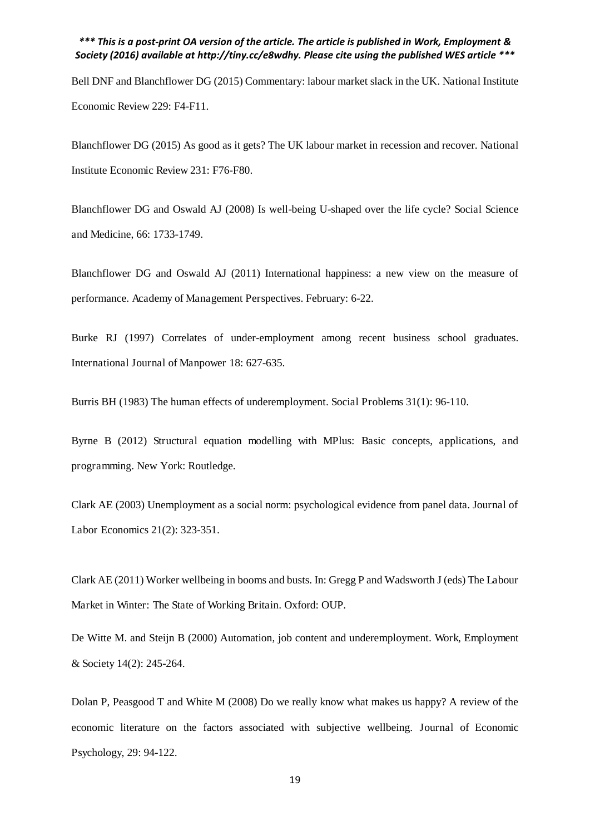Bell DNF and Blanchflower DG (2015) Commentary: labour market slack in the UK. National Institute Economic Review 229: F4-F11.

Blanchflower DG (2015) As good as it gets? The UK labour market in recession and recover. National Institute Economic Review 231: F76-F80.

Blanchflower DG and Oswald AJ (2008) Is well-being U-shaped over the life cycle? Social Science and Medicine, 66: 1733-1749.

Blanchflower DG and Oswald AJ (2011) International happiness: a new view on the measure of performance. Academy of Management Perspectives. February: 6-22.

Burke RJ (1997) Correlates of under-employment among recent business school graduates. International Journal of Manpower 18: 627-635.

Burris BH (1983) The human effects of underemployment. Social Problems 31(1): 96-110.

Byrne B (2012) Structural equation modelling with MPlus: Basic concepts, applications, and programming. New York: Routledge.

Clark AE (2003) Unemployment as a social norm: psychological evidence from panel data. Journal of Labor Economics 21(2): 323-351.

Clark AE (2011) Worker wellbeing in booms and busts. In: Gregg P and Wadsworth J (eds) The Labour Market in Winter: The State of Working Britain. Oxford: OUP.

De Witte M. and Steijn B (2000) Automation, job content and underemployment. Work, Employment & Society 14(2): 245-264.

Dolan P, Peasgood T and White M (2008) Do we really know what makes us happy? A review of the economic literature on the factors associated with subjective wellbeing. Journal of Economic Psychology, 29: 94-122.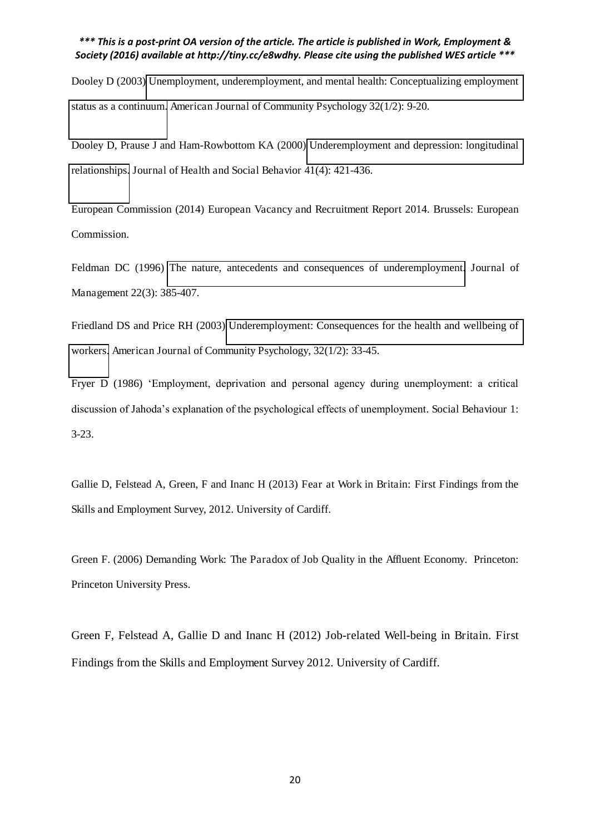Dooley D (2003) [Unemployment, underemployment, and mental health: Conceptualizing employment](http://link.springer.com/article/10.1023/A:1025634504740)  [status as a continuum.](http://link.springer.com/article/10.1023/A:1025634504740) American Journal of Community Psychology 32(1/2): 9-20.

Dooley D, Prause J and Ham-Rowbottom KA (2000) [Underemployment and depression: longitudinal](http://www.jstor.org/stable/2676295)  [relationships.](http://www.jstor.org/stable/2676295) Journal of Health and Social Behavior 41(4): 421-436.

European Commission (2014) European Vacancy and Recruitment Report 2014. Brussels: European Commission.

Feldman DC (1996) [The nature, antecedents and consequences of underemployment.](http://jom.sagepub.com/content/22/3/385.short) Journal of Management 22(3): 385-407.

Friedland DS and Price RH (2003) [Underemployment: Consequences for the health and wellbeing of](http://link.springer.com/article/10.1023/A:1025638705649)  [workers.](http://link.springer.com/article/10.1023/A:1025638705649) American Journal of Community Psychology, 32(1/2): 33-45.

Fryer D (1986) 'Employment, deprivation and personal agency during unemployment: a critical discussion of Jahoda's explanation of the psychological effects of unemployment. Social Behaviour 1: 3-23.

Gallie D, Felstead A, Green, F and Inanc H (2013) Fear at Work in Britain: First Findings from the Skills and Employment Survey, 2012. University of Cardiff.

Green F. (2006) Demanding Work: The Paradox of Job Quality in the Affluent Economy. Princeton: Princeton University Press.

Green F, Felstead A, Gallie D and Inanc H (2012) Job-related Well-being in Britain. First Findings from the Skills and Employment Survey 2012. University of Cardiff.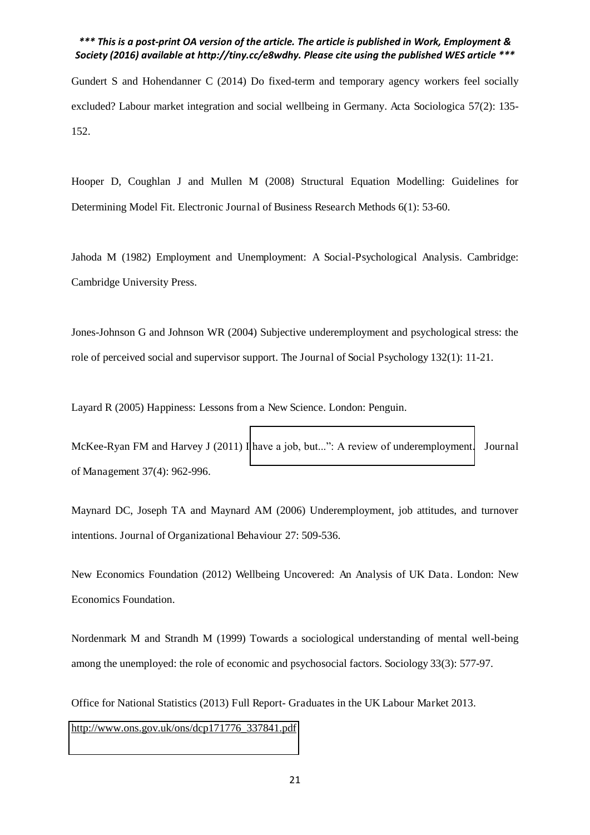Gundert S and Hohendanner C (2014) Do fixed-term and temporary agency workers feel socially excluded? Labour market integration and social wellbeing in Germany. Acta Sociologica 57(2): 135- 152.

Hooper D, Coughlan J and Mullen M (2008) Structural Equation Modelling: Guidelines for Determining Model Fit. Electronic Journal of Business Research Methods 6(1): 53-60.

Jahoda M (1982) Employment and Unemployment: A Social-Psychological Analysis. Cambridge: Cambridge University Press.

Jones-Johnson G and Johnson WR (2004) Subjective underemployment and psychological stress: the role of perceived social and supervisor support. The Journal of Social Psychology 132(1): 11-21.

Layard R (2005) Happiness: Lessons from a New Science. London: Penguin.

McKee-Ryan FM and Harvey J (2011) I [have a job, but...": A review of](http://jom.sagepub.com/content/37/4/962.short) underemployment. Journal of Management 37(4): 962-996.

Maynard DC, Joseph TA and Maynard AM (2006) Underemployment, job attitudes, and turnover intentions. Journal of Organizational Behaviour 27: 509-536.

New Economics Foundation (2012) Wellbeing Uncovered: An Analysis of UK Data. London: New Economics Foundation.

Nordenmark M and Strandh M (1999) Towards a sociological understanding of mental well-being among the unemployed: the role of economic and psychosocial factors. Sociology 33(3): 577-97.

Office for National Statistics (2013) Full Report- Graduates in the UK Labour Market 2013. [http://www.ons.gov.uk/ons/dcp171776\\_337841.pdf](http://www.ons.gov.uk/ons/dcp171776_337841.pdf)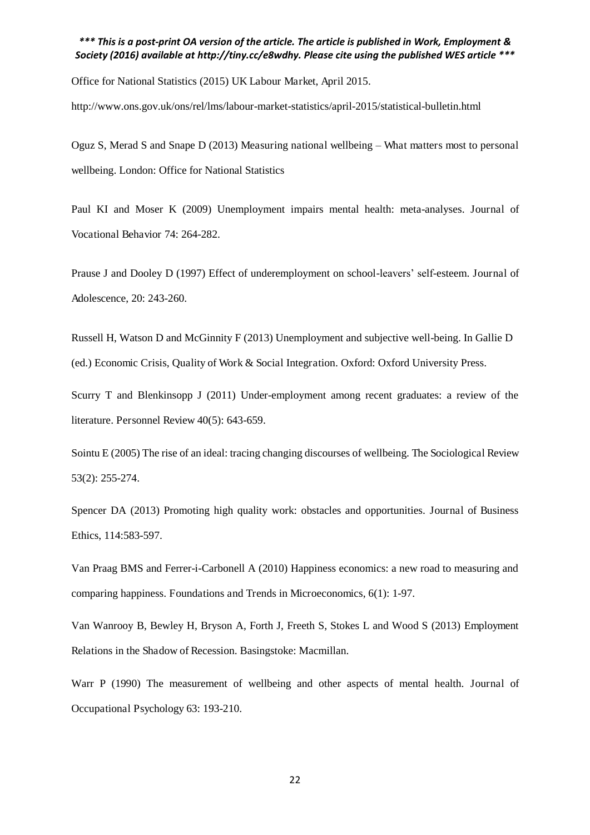Office for National Statistics (2015) UK Labour Market, April 2015.

http://www.ons.gov.uk/ons/rel/lms/labour-market-statistics/april-2015/statistical-bulletin.html

Oguz S, Merad S and Snape D (2013) Measuring national wellbeing *–* What matters most to personal wellbeing. London: Office for National Statistics

Paul KI and Moser K (2009) Unemployment impairs mental health: meta-analyses. Journal of Vocational Behavior 74: 264-282.

Prause J and Dooley D (1997) Effect of underemployment on school-leavers' self-esteem. Journal of Adolescence, 20: 243-260.

Russell H, Watson D and McGinnity F (2013) Unemployment and subjective well-being. In Gallie D (ed.) Economic Crisis, Quality of Work & Social Integration. Oxford: Oxford University Press.

Scurry T and Blenkinsopp J (2011) Under-employment among recent graduates: a review of the literature. Personnel Review 40(5): 643-659.

Sointu E (2005) The rise of an ideal: tracing changing discourses of wellbeing. The Sociological Review 53(2): 255-274.

Spencer DA (2013) Promoting high quality work: obstacles and opportunities. Journal of Business Ethics, 114:583-597.

Van Praag BMS and Ferrer-i-Carbonell A (2010) Happiness economics: a new road to measuring and comparing happiness. Foundations and Trends in Microeconomics, 6(1): 1-97.

Van Wanrooy B, Bewley H, Bryson A, Forth J, Freeth S, Stokes L and Wood S (2013) Employment Relations in the Shadow of Recession. Basingstoke: Macmillan.

Warr P (1990) The measurement of wellbeing and other aspects of mental health. Journal of Occupational Psychology 63: 193-210.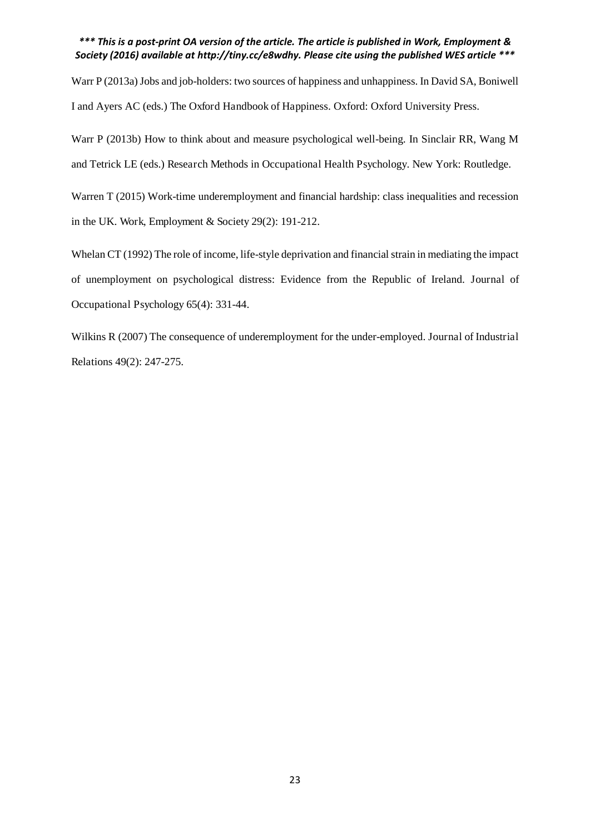Warr P (2013a) Jobs and job-holders: two sources of happiness and unhappiness. In David SA, Boniwell I and Ayers AC (eds.) The Oxford Handbook of Happiness. Oxford: Oxford University Press.

Warr P (2013b) How to think about and measure psychological well-being. In Sinclair RR, Wang M and Tetrick LE (eds.) Research Methods in Occupational Health Psychology. New York: Routledge.

Warren T (2015) Work-time underemployment and financial hardship: class inequalities and recession in the UK. Work, Employment & Society 29(2): 191-212.

Whelan CT (1992) The role of income, life-style deprivation and financial strain in mediating the impact of unemployment on psychological distress: Evidence from the Republic of Ireland. Journal of Occupational Psychology 65(4): 331-44.

Wilkins R (2007) The consequence of underemployment for the under-employed. Journal of Industrial Relations 49(2): 247-275.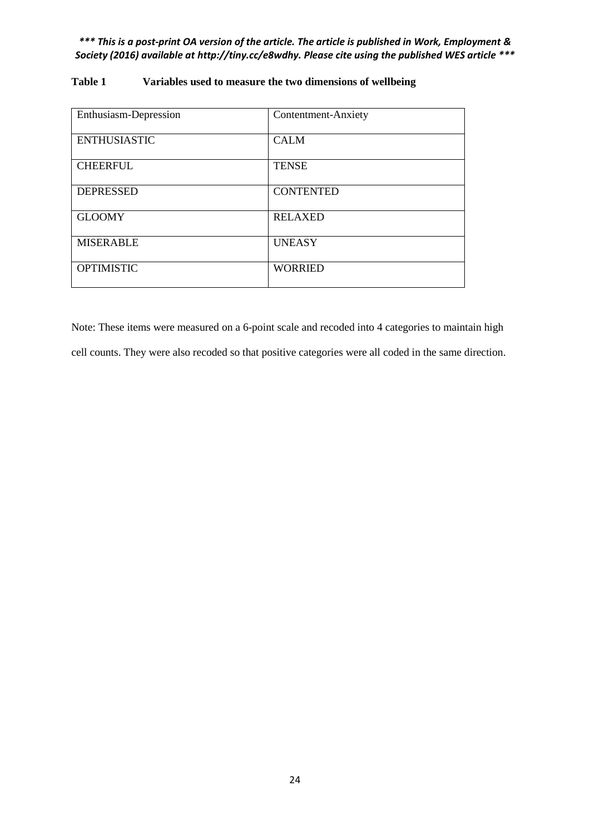| Enthusiasm-Depression | Contentment-Anxiety |
|-----------------------|---------------------|
| <b>ENTHUSIASTIC</b>   | <b>CALM</b>         |
| <b>CHEERFUL</b>       | <b>TENSE</b>        |
| <b>DEPRESSED</b>      | <b>CONTENTED</b>    |
| <b>GLOOMY</b>         | <b>RELAXED</b>      |
| <b>MISERABLE</b>      | <b>UNEASY</b>       |
| <b>OPTIMISTIC</b>     | <b>WORRIED</b>      |

# **Table 1 Variables used to measure the two dimensions of wellbeing**

Note: These items were measured on a 6-point scale and recoded into 4 categories to maintain high cell counts. They were also recoded so that positive categories were all coded in the same direction.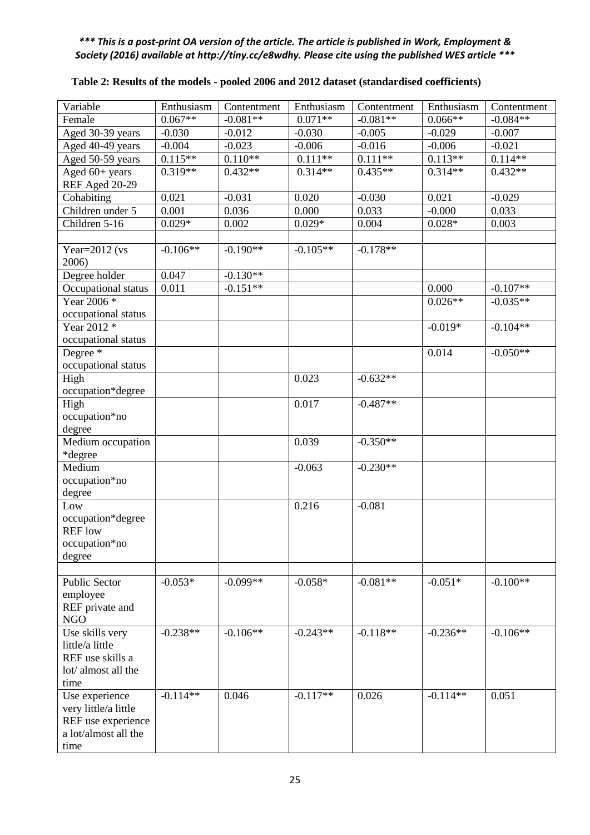| Variable                    | Enthusiasm | Contentment | Enthusiasm | Contentment | Enthusiasm | Contentment |
|-----------------------------|------------|-------------|------------|-------------|------------|-------------|
| Female                      | $0.067**$  | $-0.081**$  | $0.071**$  | $-0.081**$  | $0.066**$  | $-0.084**$  |
| Aged 30-39 years            | $-0.030$   | $-0.012$    | $-0.030$   | $-0.005$    | $-0.029$   | $-0.007$    |
| Aged 40-49 years            | $-0.004$   | $-0.023$    | $-0.006$   | $-0.016$    | $-0.006$   | $-0.021$    |
| Aged 50-59 years            | $0.115**$  | $0.110**$   | $0.111**$  | $0.111**$   | $0.113**$  | $0.114**$   |
| Aged 60+ years              | $0.319**$  | $0.432**$   | $0.314**$  | $0.435**$   | $0.314**$  | $0.432**$   |
| REF Aged 20-29              |            |             |            |             |            |             |
| Cohabiting                  | 0.021      | $-0.031$    | 0.020      | $-0.030$    | 0.021      | $-0.029$    |
| Children under 5            | 0.001      | 0.036       | 0.000      | 0.033       | $-0.000$   | 0.033       |
| Children 5-16               | $0.029*$   | 0.002       | $0.029*$   | 0.004       | $0.028*$   | 0.003       |
|                             |            |             |            |             |            |             |
| Year= $2012$ (vs            | $-0.106**$ | $-0.190**$  | $-0.105**$ | $-0.178**$  |            |             |
| 2006)                       |            |             |            |             |            |             |
| Degree holder               | 0.047      | $-0.130**$  |            |             |            |             |
| Occupational status         | 0.011      | $-0.151**$  |            |             | 0.000      | $-0.107**$  |
| Year $2006*$                |            |             |            |             | $0.026**$  | $-0.035**$  |
| occupational status         |            |             |            |             |            |             |
| Year 2012 *                 |            |             |            |             | $-0.019*$  | $-0.104**$  |
| occupational status         |            |             |            |             |            |             |
| Degree <sup>*</sup>         |            |             |            |             | 0.014      | $-0.050**$  |
| occupational status         |            |             |            |             |            |             |
| High                        |            |             | 0.023      | $-0.632**$  |            |             |
| occupation*degree           |            |             |            |             |            |             |
| High                        |            |             | 0.017      | $-0.487**$  |            |             |
| occupation*no               |            |             |            |             |            |             |
| degree                      |            |             |            |             |            |             |
| Medium occupation           |            |             | 0.039      | $-0.350**$  |            |             |
| *degree                     |            |             |            |             |            |             |
| Medium                      |            |             | $-0.063$   | $-0.230**$  |            |             |
| occupation*no               |            |             |            |             |            |             |
| degree                      |            |             |            |             |            |             |
| Low                         |            |             | 0.216      | $-0.081$    |            |             |
| occupation*degree           |            |             |            |             |            |             |
| <b>REF</b> low              |            |             |            |             |            |             |
| occupation*no               |            |             |            |             |            |             |
| degree                      |            |             |            |             |            |             |
|                             | $-0.053*$  | $-0.099**$  | $-0.058*$  | $-0.081**$  |            | $-0.100**$  |
| Public Sector               |            |             |            |             | $-0.051*$  |             |
| employee<br>REF private and |            |             |            |             |            |             |
| <b>NGO</b>                  |            |             |            |             |            |             |
| Use skills very             | $-0.238**$ | $-0.106**$  | $-0.243**$ | $-0.118**$  | $-0.236**$ | $-0.106**$  |
| little/a little             |            |             |            |             |            |             |
| REF use skills a            |            |             |            |             |            |             |
| lot/ almost all the         |            |             |            |             |            |             |
| time                        |            |             |            |             |            |             |
| Use experience              | $-0.114**$ | 0.046       | $-0.117**$ | 0.026       | $-0.114**$ | 0.051       |
| very little/a little        |            |             |            |             |            |             |
| REF use experience          |            |             |            |             |            |             |
| a lot/almost all the        |            |             |            |             |            |             |
| time                        |            |             |            |             |            |             |

# **Table 2: Results of the models - pooled 2006 and 2012 dataset (standardised coefficients)**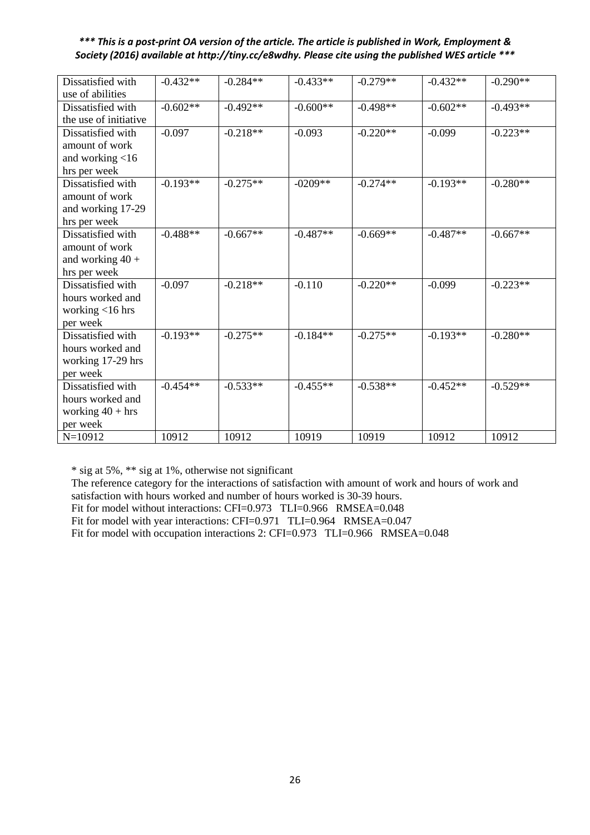| Dissatisfied with     | $-0.432**$ | $-0.284**$ | $-0.433**$ | $-0.279**$ | $-0.432**$ | $-0.290**$ |
|-----------------------|------------|------------|------------|------------|------------|------------|
| use of abilities      |            |            |            |            |            |            |
| Dissatisfied with     | $-0.602**$ | $-0.492**$ | $-0.600**$ | $-0.498**$ | $-0.602**$ | $-0.493**$ |
| the use of initiative |            |            |            |            |            |            |
| Dissatisfied with     | $-0.097$   | $-0.218**$ | $-0.093$   | $-0.220**$ | $-0.099$   | $-0.223**$ |
| amount of work        |            |            |            |            |            |            |
| and working $<$ 16    |            |            |            |            |            |            |
| hrs per week          |            |            |            |            |            |            |
| Dissatisfied with     | $-0.193**$ | $-0.275**$ | $-0209**$  | $-0.274**$ | $-0.193**$ | $-0.280**$ |
| amount of work        |            |            |            |            |            |            |
| and working 17-29     |            |            |            |            |            |            |
| hrs per week          |            |            |            |            |            |            |
| Dissatisfied with     | $-0.488**$ | $-0.667**$ | $-0.487**$ | $-0.669**$ | $-0.487**$ | $-0.667**$ |
| amount of work        |            |            |            |            |            |            |
| and working $40 +$    |            |            |            |            |            |            |
| hrs per week          |            |            |            |            |            |            |
| Dissatisfied with     | $-0.097$   | $-0.218**$ | $-0.110$   | $-0.220**$ | $-0.099$   | $-0.223**$ |
| hours worked and      |            |            |            |            |            |            |
| working <16 hrs       |            |            |            |            |            |            |
| per week              |            |            |            |            |            |            |
| Dissatisfied with     | $-0.193**$ | $-0.275**$ | $-0.184**$ | $-0.275**$ | $-0.193**$ | $-0.280**$ |
| hours worked and      |            |            |            |            |            |            |
| working 17-29 hrs     |            |            |            |            |            |            |
| per week              |            |            |            |            |            |            |
| Dissatisfied with     | $-0.454**$ | $-0.533**$ | $-0.455**$ | $-0.538**$ | $-0.452**$ | $-0.529**$ |
| hours worked and      |            |            |            |            |            |            |
| working $40 + hrs$    |            |            |            |            |            |            |
| per week              |            |            |            |            |            |            |
| $N=10912$             | 10912      | 10912      | 10919      | 10919      | 10912      | 10912      |

\* sig at 5%, \*\* sig at 1%, otherwise not significant

The reference category for the interactions of satisfaction with amount of work and hours of work and satisfaction with hours worked and number of hours worked is 30-39 hours.

Fit for model without interactions: CFI=0.973 TLI=0.966 RMSEA=0.048

Fit for model with year interactions: CFI=0.971 TLI=0.964 RMSEA=0.047

Fit for model with occupation interactions 2: CFI=0.973 TLI=0.966 RMSEA=0.048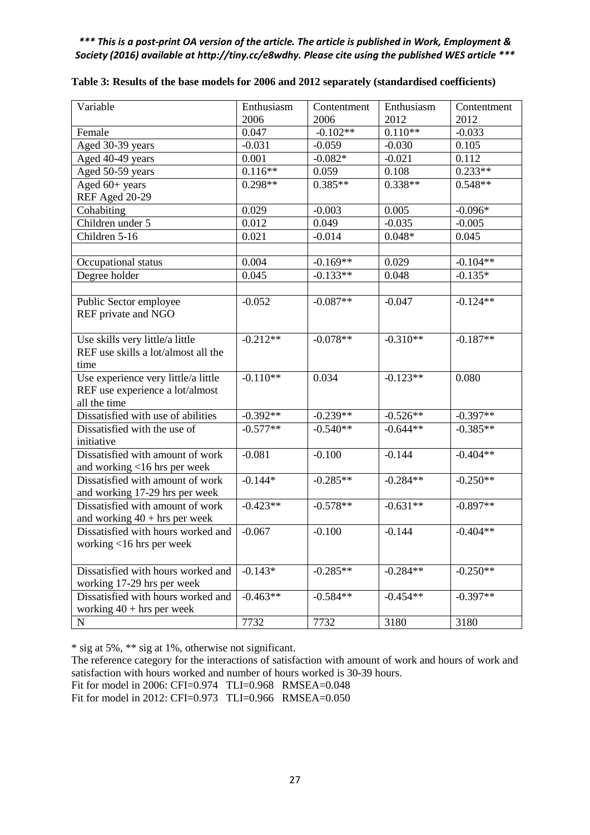| Variable                            | Enthusiasm | Contentment | Enthusiasm | Contentment |
|-------------------------------------|------------|-------------|------------|-------------|
|                                     | 2006       | 2006        | 2012       | 2012        |
| Female                              | 0.047      | $-0.102**$  | $0.110**$  | $-0.033$    |
| Aged 30-39 years                    | $-0.031$   | $-0.059$    | $-0.030$   | 0.105       |
| Aged 40-49 years                    | 0.001      | $-0.082*$   | $-0.021$   | 0.112       |
| Aged 50-59 years                    | $0.116**$  | 0.059       | 0.108      | $0.233**$   |
| Aged 60+ years                      | $0.298**$  | $0.385**$   | $0.338**$  | $0.548**$   |
| REF Aged 20-29                      |            |             |            |             |
| Cohabiting                          | 0.029      | $-0.003$    | 0.005      | $-0.096*$   |
| Children under 5                    | 0.012      | 0.049       | $-0.035$   | $-0.005$    |
| Children 5-16                       | 0.021      | $-0.014$    | $0.048*$   | 0.045       |
|                                     |            |             |            |             |
| Occupational status                 | 0.004      | $-0.169**$  | 0.029      | $-0.104**$  |
| Degree holder                       | 0.045      | $-0.133**$  | 0.048      | $-0.135*$   |
|                                     |            |             |            |             |
| Public Sector employee              | $-0.052$   | $-0.087**$  | $-0.047$   | $-0.124**$  |
| REF private and NGO                 |            |             |            |             |
|                                     |            |             |            |             |
| Use skills very little/a little     | $-0.212**$ | $-0.078**$  | $-0.310**$ | $-0.187**$  |
| REF use skills a lot/almost all the |            |             |            |             |
| time                                |            |             |            |             |
| Use experience very little/a little | $-0.110**$ | 0.034       | $-0.123**$ | 0.080       |
| REF use experience a lot/almost     |            |             |            |             |
| all the time                        |            |             |            |             |
| Dissatisfied with use of abilities  | $-0.392**$ | $-0.239**$  | $-0.526**$ | $-0.397**$  |
| Dissatisfied with the use of        | $-0.577**$ | $-0.540**$  | $-0.644**$ | $-0.385**$  |
| initiative                          |            |             |            |             |
| Dissatisfied with amount of work    | $-0.081$   | $-0.100$    | $-0.144$   | $-0.404**$  |
| and working <16 hrs per week        |            |             |            |             |
| Dissatisfied with amount of work    | $-0.144*$  | $-0.285**$  | $-0.284**$ | $-0.250**$  |
| and working 17-29 hrs per week      |            |             |            |             |
| Dissatisfied with amount of work    | $-0.423**$ | $-0.578**$  | $-0.631**$ | $-0.897**$  |
| and working $40 + hrs$ per week     |            |             |            |             |
| Dissatisfied with hours worked and  | $-0.067$   | $-0.100$    | $-0.144$   | $-0.404**$  |
| working $<$ 16 hrs per week         |            |             |            |             |
|                                     |            |             |            |             |
| Dissatisfied with hours worked and  | $-0.143*$  | $-0.285**$  | $-0.284**$ | $-0.250**$  |
| working 17-29 hrs per week          |            |             |            |             |
| Dissatisfied with hours worked and  | $-0.463**$ | $-0.584**$  | $-0.454**$ | $-0.397**$  |
| working $40 + hrs$ per week         |            |             |            |             |
| ${\bf N}$                           | 7732       | 7732        | 3180       | 3180        |

| Table 3: Results of the base models for 2006 and 2012 separately (standardised coefficients) |  |  |  |  |  |
|----------------------------------------------------------------------------------------------|--|--|--|--|--|
|----------------------------------------------------------------------------------------------|--|--|--|--|--|

\* sig at 5%, \*\* sig at 1%, otherwise not significant.

The reference category for the interactions of satisfaction with amount of work and hours of work and satisfaction with hours worked and number of hours worked is 30-39 hours.

Fit for model in 2006: CFI=0.974 TLI=0.968 RMSEA=0.048

Fit for model in 2012: CFI=0.973 TLI=0.966 RMSEA=0.050